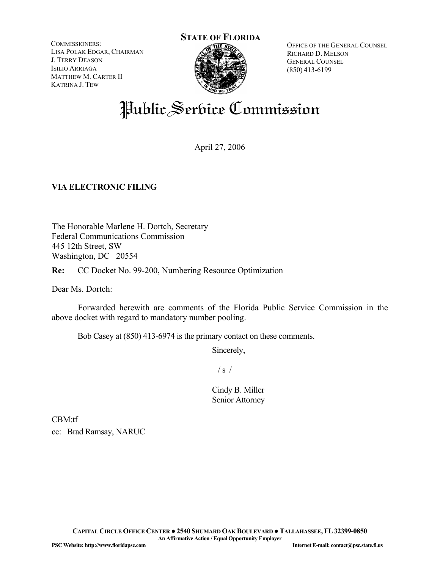COMMISSIONERS: LISA POLAK EDGAR, CHAIRMAN J. TERRY DEASON ISILIO ARRIAGA MATTHEW M. CARTER II KATRINA J. TEW

# **STATE OF FLORIDA**

OFFICE OF THE GENERAL COUNSEL RICHARD D. MELSON GENERAL COUNSEL (850) 413-6199

## Public Service Commission

April 27, 2006

### **VIA ELECTRONIC FILING**

The Honorable Marlene H. Dortch, Secretary Federal Communications Commission 445 12th Street, SW Washington, DC 20554

**Re:** CC Docket No. 99-200, Numbering Resource Optimization

Dear Ms. Dortch:

 Forwarded herewith are comments of the Florida Public Service Commission in the above docket with regard to mandatory number pooling.

Bob Casey at (850) 413-6974 is the primary contact on these comments.

Sincerely,

 $/ s /$ 

Cindy B. Miller Senior Attorney

CBM:tf cc: Brad Ramsay, NARUC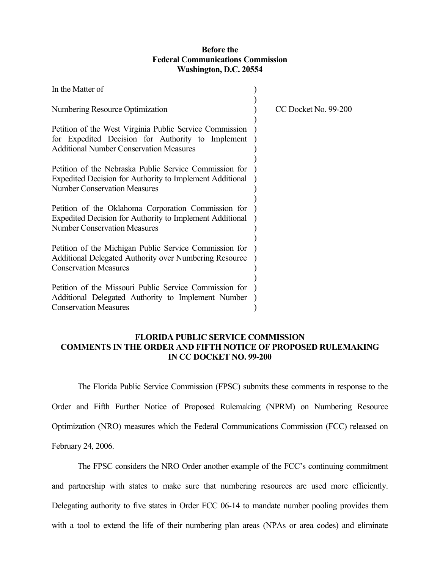#### **Before the Federal Communications Commission Washington, D.C. 20554**

| In the Matter of                                                                                                                                               |                      |
|----------------------------------------------------------------------------------------------------------------------------------------------------------------|----------------------|
| Numbering Resource Optimization                                                                                                                                | CC Docket No. 99-200 |
| Petition of the West Virginia Public Service Commission<br>for Expedited Decision for Authority to Implement<br><b>Additional Number Conservation Measures</b> |                      |
| Petition of the Nebraska Public Service Commission for<br>Expedited Decision for Authority to Implement Additional<br><b>Number Conservation Measures</b>      |                      |
| Petition of the Oklahoma Corporation Commission for<br>Expedited Decision for Authority to Implement Additional<br><b>Number Conservation Measures</b>         |                      |
| Petition of the Michigan Public Service Commission for<br><b>Additional Delegated Authority over Numbering Resource</b><br><b>Conservation Measures</b>        |                      |
| Petition of the Missouri Public Service Commission for<br>Additional Delegated Authority to Implement Number<br><b>Conservation Measures</b>                   |                      |

#### **FLORIDA PUBLIC SERVICE COMMISSION COMMENTS IN THE ORDER AND FIFTH NOTICE OF PROPOSED RULEMAKING IN CC DOCKET NO. 99-200**

The Florida Public Service Commission (FPSC) submits these comments in response to the Order and Fifth Further Notice of Proposed Rulemaking (NPRM) on Numbering Resource Optimization (NRO) measures which the Federal Communications Commission (FCC) released on February 24, 2006.

The FPSC considers the NRO Order another example of the FCC's continuing commitment and partnership with states to make sure that numbering resources are used more efficiently. Delegating authority to five states in Order FCC 06-14 to mandate number pooling provides them with a tool to extend the life of their numbering plan areas (NPAs or area codes) and eliminate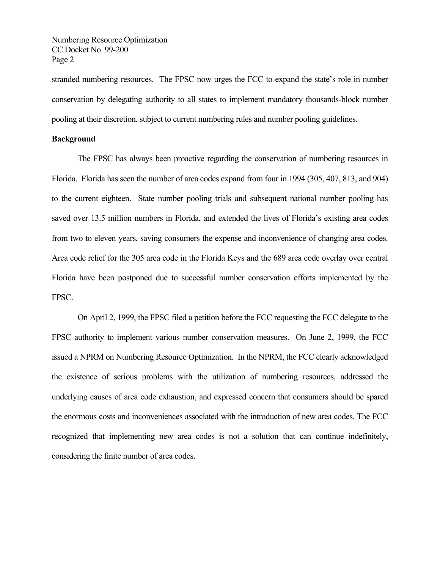stranded numbering resources. The FPSC now urges the FCC to expand the state's role in number conservation by delegating authority to all states to implement mandatory thousands-block number pooling at their discretion, subject to current numbering rules and number pooling guidelines.

#### **Background**

The FPSC has always been proactive regarding the conservation of numbering resources in Florida. Florida has seen the number of area codes expand from four in 1994 (305, 407, 813, and 904) to the current eighteen. State number pooling trials and subsequent national number pooling has saved over 13.5 million numbers in Florida, and extended the lives of Florida's existing area codes from two to eleven years, saving consumers the expense and inconvenience of changing area codes. Area code relief for the 305 area code in the Florida Keys and the 689 area code overlay over central Florida have been postponed due to successful number conservation efforts implemented by the FPSC.

On April 2, 1999, the FPSC filed a petition before the FCC requesting the FCC delegate to the FPSC authority to implement various number conservation measures. On June 2, 1999, the FCC issued a NPRM on Numbering Resource Optimization. In the NPRM, the FCC clearly acknowledged the existence of serious problems with the utilization of numbering resources, addressed the underlying causes of area code exhaustion, and expressed concern that consumers should be spared the enormous costs and inconveniences associated with the introduction of new area codes. The FCC recognized that implementing new area codes is not a solution that can continue indefinitely, considering the finite number of area codes.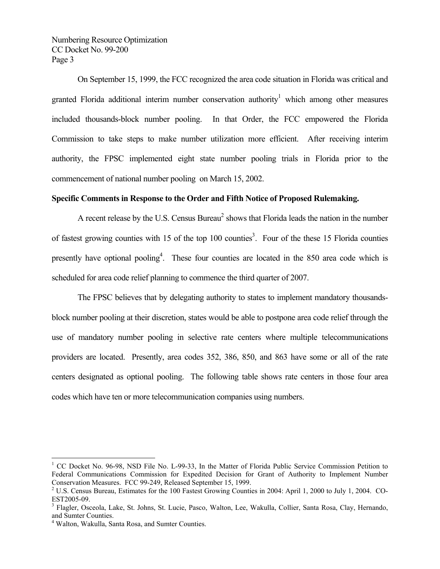On September 15, 1999, the FCC recognized the area code situation in Florida was critical and granted Florida additional interim number conservation authority<sup>1</sup> which among other measures included thousands-block number pooling. In that Order, the FCC empowered the Florida Commission to take steps to make number utilization more efficient. After receiving interim authority, the FPSC implemented eight state number pooling trials in Florida prior to the commencement of national number pooling on March 15, 2002.

#### **Specific Comments in Response to the Order and Fifth Notice of Proposed Rulemaking.**

A recent release by the U.S. Census Bureau<sup>2</sup> shows that Florida leads the nation in the number of fastest growing counties with 15 of the top 100 counties<sup>3</sup>. Four of the these 15 Florida counties presently have optional pooling<sup>4</sup>. These four counties are located in the 850 area code which is scheduled for area code relief planning to commence the third quarter of 2007.

 The FPSC believes that by delegating authority to states to implement mandatory thousandsblock number pooling at their discretion, states would be able to postpone area code relief through the use of mandatory number pooling in selective rate centers where multiple telecommunications providers are located. Presently, area codes 352, 386, 850, and 863 have some or all of the rate centers designated as optional pooling. The following table shows rate centers in those four area codes which have ten or more telecommunication companies using numbers.

 $\overline{a}$ 

<sup>&</sup>lt;sup>1</sup> CC Docket No. 96-98, NSD File No. L-99-33, In the Matter of Florida Public Service Commission Petition to Federal Communications Commission for Expedited Decision for Grant of Authority to Implement Number Conservation Measures. FCC 99-249, Released September 15, 1999.

<sup>&</sup>lt;sup>2</sup> U.S. Census Bureau, Estimates for the 100 Fastest Growing Counties in 2004: April 1, 2000 to July 1, 2004. CO-EST2005-09.

<sup>&</sup>lt;sup>3</sup> Flagler, Osceola, Lake, St. Johns, St. Lucie, Pasco, Walton, Lee, Wakulla, Collier, Santa Rosa, Clay, Hernando, and Sumter Counties.

<sup>4</sup> Walton, Wakulla, Santa Rosa, and Sumter Counties.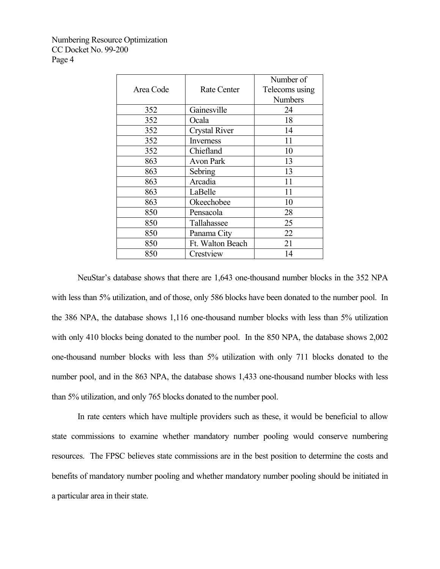|           |                      | Number of      |
|-----------|----------------------|----------------|
| Area Code | <b>Rate Center</b>   | Telecoms using |
|           |                      | Numbers        |
| 352       | Gainesville          | 24             |
| 352       | Ocala                | 18             |
| 352       | <b>Crystal River</b> | 14             |
| 352       | Inverness            | 11             |
| 352       | Chiefland            | 10             |
| 863       | <b>Avon Park</b>     | 13             |
| 863       | Sebring              | 13             |
| 863       | Arcadia              | 11             |
| 863       | LaBelle              | 11             |
| 863       | Okeechobee           | 10             |
| 850       | Pensacola            | 28             |
| 850       | Tallahassee          | 25             |
| 850       | Panama City          | 22             |
| 850       | Ft. Walton Beach     | 21             |
| 850       | Crestview            | 14             |

NeuStar's database shows that there are 1,643 one-thousand number blocks in the 352 NPA with less than 5% utilization, and of those, only 586 blocks have been donated to the number pool. In the 386 NPA, the database shows 1,116 one-thousand number blocks with less than 5% utilization with only 410 blocks being donated to the number pool. In the 850 NPA, the database shows 2,002 one-thousand number blocks with less than 5% utilization with only 711 blocks donated to the number pool, and in the 863 NPA, the database shows 1,433 one-thousand number blocks with less than 5% utilization, and only 765 blocks donated to the number pool.

In rate centers which have multiple providers such as these, it would be beneficial to allow state commissions to examine whether mandatory number pooling would conserve numbering resources. The FPSC believes state commissions are in the best position to determine the costs and benefits of mandatory number pooling and whether mandatory number pooling should be initiated in a particular area in their state.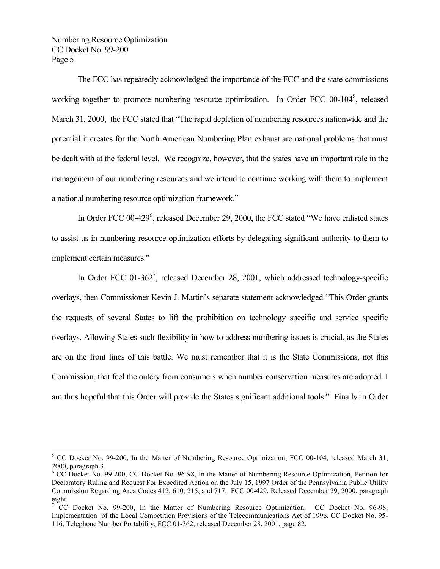$\overline{a}$ 

The FCC has repeatedly acknowledged the importance of the FCC and the state commissions working together to promote numbering resource optimization. In Order FCC  $00-104^5$ , released March 31, 2000, the FCC stated that "The rapid depletion of numbering resources nationwide and the potential it creates for the North American Numbering Plan exhaust are national problems that must be dealt with at the federal level. We recognize, however, that the states have an important role in the management of our numbering resources and we intend to continue working with them to implement a national numbering resource optimization framework."

In Order FCC 00-429<sup>6</sup>, released December 29, 2000, the FCC stated "We have enlisted states to assist us in numbering resource optimization efforts by delegating significant authority to them to implement certain measures."

In Order FCC 01-362<sup>7</sup>, released December 28, 2001, which addressed technology-specific overlays, then Commissioner Kevin J. Martin's separate statement acknowledged "This Order grants the requests of several States to lift the prohibition on technology specific and service specific overlays. Allowing States such flexibility in how to address numbering issues is crucial, as the States are on the front lines of this battle. We must remember that it is the State Commissions, not this Commission, that feel the outcry from consumers when number conservation measures are adopted. I am thus hopeful that this Order will provide the States significant additional tools." Finally in Order

<sup>&</sup>lt;sup>5</sup> CC Docket No. 99-200, In the Matter of Numbering Resource Optimization, FCC 00-104, released March 31, 2000, paragraph 3.

<sup>&</sup>lt;sup>6</sup> CC Docket No. 99-200, CC Docket No. 96-98, In the Matter of Numbering Resource Optimization, Petition for Declaratory Ruling and Request For Expedited Action on the July 15, 1997 Order of the Pennsylvania Public Utility Commission Regarding Area Codes 412, 610, 215, and 717. FCC 00-429, Released December 29, 2000, paragraph eight.

<sup>7</sup> CC Docket No. 99-200, In the Matter of Numbering Resource Optimization, CC Docket No. 96-98, Implementation of the Local Competition Provisions of the Telecommunications Act of 1996, CC Docket No. 95- 116, Telephone Number Portability, FCC 01-362, released December 28, 2001, page 82.